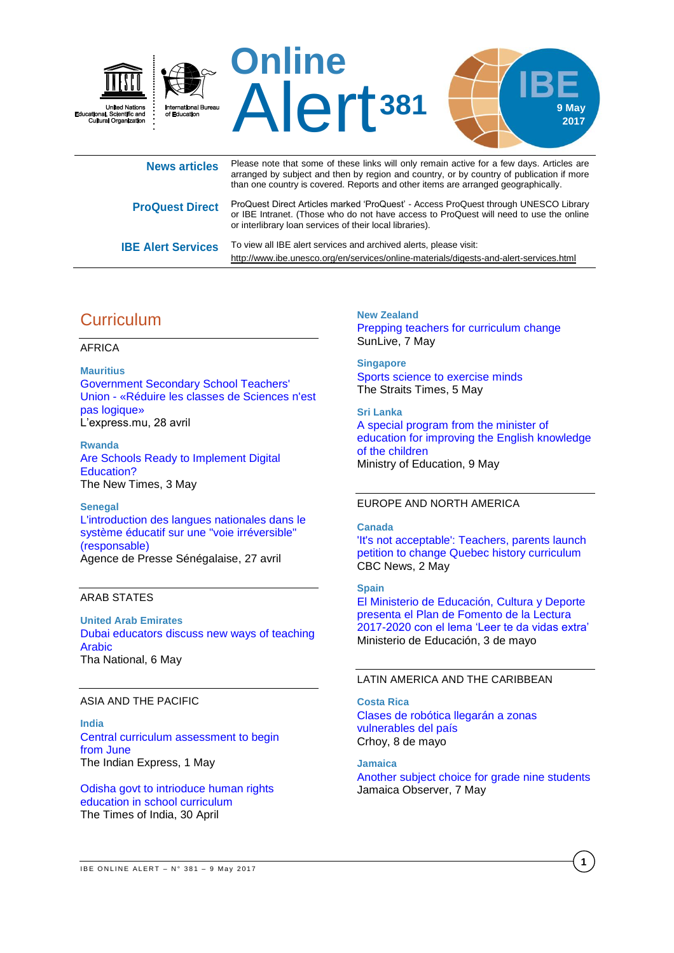

| <b>News articles</b>      | i icasc note that some or these links will only femall active for a few days. Anticles are<br>arranged by subject and then by region and country, or by country of publication if more<br>than one country is covered. Reports and other items are arranged geographically. |
|---------------------------|-----------------------------------------------------------------------------------------------------------------------------------------------------------------------------------------------------------------------------------------------------------------------------|
| <b>ProQuest Direct</b>    | ProQuest Direct Articles marked 'ProQuest' - Access ProQuest through UNESCO Library<br>or IBE Intranet. (Those who do not have access to ProQuest will need to use the online<br>or interlibrary loan services of their local libraries).                                   |
| <b>IBE Alert Services</b> | To view all IBE alert services and archived alerts, please visit:<br>http://www.ibe.unesco.org/en/services/online-materials/digests-and-alert-services.html                                                                                                                 |

# **Curriculum**

#### AFRICA

#### **Mauritius**

[Government Secondary School Teachers'](http://fr.allafrica.com/stories/201704281002.html)  Union - [«Réduire les classes de Sciences n'est](http://fr.allafrica.com/stories/201704281002.html)  [pas logique»](http://fr.allafrica.com/stories/201704281002.html) L'express.mu, 28 avril

**Rwanda** [Are Schools Ready to Implement Digital](http://allafrica.com/stories/201705030076.html)  [Education?](http://allafrica.com/stories/201705030076.html) The New Times, 3 May

**Senegal** [L'introduction des langues nationales dans le](http://fr.allafrica.com/stories/201704280451.html)  [système éducatif sur une "voie irréversible"](http://fr.allafrica.com/stories/201704280451.html)  [\(responsable\)](http://fr.allafrica.com/stories/201704280451.html) Agence de Presse Sénégalaise, 27 avril

#### ARAB STATES

**United Arab Emirates** [Dubai educators discuss new ways of teaching](http://www.thenational.ae/uae/education/dubai-educators-discuss-new-ways-of-teaching-arabic)  [Arabic](http://www.thenational.ae/uae/education/dubai-educators-discuss-new-ways-of-teaching-arabic) Tha National, 6 May

## ASIA AND THE PACIFIC

**India** [Central curriculum assessment to begin](http://indianexpress.com/article/education/central-curriculum-assessment-to-begin-from-june-4634882/)  from [June](http://indianexpress.com/article/education/central-curriculum-assessment-to-begin-from-june-4634882/) The Indian Express, 1 May

[Odisha govt to intrioduce human rights](http://timesofindia.indiatimes.com/city/bhubaneswar/odisha-govt-to-intrioduce-human-rights-education-in-school-curriculum/articleshow/58446467.cms)  [education in school curriculum](http://timesofindia.indiatimes.com/city/bhubaneswar/odisha-govt-to-intrioduce-human-rights-education-in-school-curriculum/articleshow/58446467.cms) The Times of India, 30 April

**New Zealand** [Prepping teachers for curriculum change](https://www.sunlive.co.nz/news/153604-prepping-teachers-curriculum-change.html) SunLive, 7 May

**Singapore** [Sports science to exercise minds](http://www.straitstimes.com/singapore/education/sports-science-to-exercise-minds) The Straits Times, 5 May

**Sri Lanka** A special [program](http://www.moe.gov.lk/english/index.php?option=com_content&view=article&id=1718:a-special-program-from-the-minister-of-education-for-improving-the-english-knowledge-of-the-children&catid=344:latest-news&Itemid=771) from the minister of education for improving the English [knowledge](http://www.moe.gov.lk/english/index.php?option=com_content&view=article&id=1718:a-special-program-from-the-minister-of-education-for-improving-the-english-knowledge-of-the-children&catid=344:latest-news&Itemid=771) of the [children](http://www.moe.gov.lk/english/index.php?option=com_content&view=article&id=1718:a-special-program-from-the-minister-of-education-for-improving-the-english-knowledge-of-the-children&catid=344:latest-news&Itemid=771) Ministry of Education, 9 May

## EUROPE AND NORTH AMERICA

#### **Canada**

['It's not acceptable': Teachers, parents launch](http://www.cbc.ca/news/canada/montreal/quebec-history-course-petition-1.4094550)  [petition to change Quebec history curriculum](http://www.cbc.ca/news/canada/montreal/quebec-history-course-petition-1.4094550) CBC News, 2 May

## **Spain**

[El Ministerio de Educación, Cultura y Deporte](http://www.mecd.gob.es/prensa-mecd/actualidad/2017/05/20170503-planlectura.html)  [presenta el Plan de Fomento de la Lectura](http://www.mecd.gob.es/prensa-mecd/actualidad/2017/05/20170503-planlectura.html)  [2017-2020 con el lema 'Leer te da vidas extra'](http://www.mecd.gob.es/prensa-mecd/actualidad/2017/05/20170503-planlectura.html) Ministerio de Educación, 3 de mayo

## LATIN AMERICA AND THE CARIBBEAN

**Costa Rica** [Clases de robótica llegarán a zonas](https://www.crhoy.com/nacionales/clases-de-robotica-llegaran-a-zonas-vulnerables-del-pais/)  [vulnerables del país](https://www.crhoy.com/nacionales/clases-de-robotica-llegaran-a-zonas-vulnerables-del-pais/) Crhoy, 8 de mayo

**Jamaica** [Another subject choice for grade nine students](http://www.jamaicaobserver.com/news/another-subject-choice-for-grade-nine-students_97235) Jamaica Observer, 7 May

**1**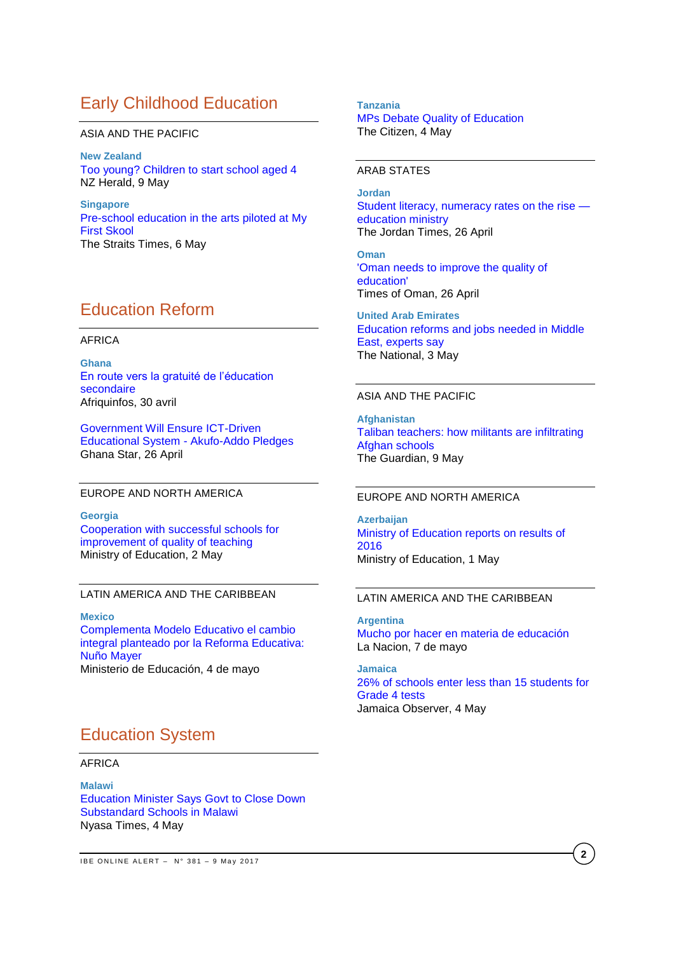# Early Childhood Education

#### ASIA AND THE PACIFIC

**New Zealand** [Too young? Children to start school aged 4](http://www.nzherald.co.nz/education/news/article.cfm?c_id=35&objectid=11851641) NZ Herald, 9 May

**Singapore** [Pre-school education in the arts piloted at My](http://www.straitstimes.com/singapore/education/pre-school-education-in-the-arts-piloted-at-my-first-skool)  [First Skool](http://www.straitstimes.com/singapore/education/pre-school-education-in-the-arts-piloted-at-my-first-skool) The Straits Times, 6 May

# Education Reform

#### AFRICA

**Ghana**  [En route vers la gratuité de l'éducation](http://www.afriquinfos.com/2017/04/30/ghana-en-route-vers-la-gratuite-de-leducation-secondaire.php)  [secondaire](http://www.afriquinfos.com/2017/04/30/ghana-en-route-vers-la-gratuite-de-leducation-secondaire.php) Afriquinfos, 30 avril

[Government Will Ensure ICT-Driven](http://allafrica.com/stories/201704270609.html)  [Educational System -](http://allafrica.com/stories/201704270609.html) Akufo-Addo Pledges Ghana Star, 26 April

#### EUROPE AND NORTH AMERICA

**Georgia** [Cooperation with successful schools for](http://www.mes.gov.ge/content.php?id=7297&lang=eng)  [improvement of quality of teaching](http://www.mes.gov.ge/content.php?id=7297&lang=eng) Ministry of Education, 2 May

#### LATIN AMERICA AND THE CARIBBEAN

**Mexico** [Complementa Modelo Educativo el cambio](http://www.gob.mx/sep/prensa/comunicado-115-complementa-modelo-educativo-el-cambio-integral-planteado-por-la-reforma-educativa-nuno-mayer?idiom=es)  [integral planteado por la Reforma Educativa:](http://www.gob.mx/sep/prensa/comunicado-115-complementa-modelo-educativo-el-cambio-integral-planteado-por-la-reforma-educativa-nuno-mayer?idiom=es)  [Nuño Mayer](http://www.gob.mx/sep/prensa/comunicado-115-complementa-modelo-educativo-el-cambio-integral-planteado-por-la-reforma-educativa-nuno-mayer?idiom=es) Ministerio de Educación, 4 de mayo

# Education System

## AFRICA

**Malawi** [Education Minister Says Govt to Close Down](http://allafrica.com/stories/201705040763.html)  [Substandard Schools in Malawi](http://allafrica.com/stories/201705040763.html) Nyasa Times, 4 May

#### **Tanzania**

[MPs Debate Quality of Education](http://allafrica.com/stories/201705040584.html) The Citizen, 4 May

#### ARAB STATES

**Jordan** [Student literacy, numeracy rates on the rise](http://www.jordantimes.com/news/local/student-literacy-numeracy-rates-rise-—-education-ministry)  [education ministry](http://www.jordantimes.com/news/local/student-literacy-numeracy-rates-rise-—-education-ministry) The Jordan Times, 26 April

**Oman** ['Oman needs to improve the quality of](http://timesofoman.com/article/107862/Oman/Education/Oman-needs-to-improve-the-quality-of-education-or-lose-race-says-director-general-of-IT-for-the-Mini)  [education'](http://timesofoman.com/article/107862/Oman/Education/Oman-needs-to-improve-the-quality-of-education-or-lose-race-says-director-general-of-IT-for-the-Mini) Times of Oman, 26 April

**United Arab Emirates** [Education reforms and jobs needed in Middle](file:///C:/Users/r_creamer/AppData/Local/Microsoft/Windows/Temporary%20Internet%20Files/Content.Outlook/WBRXGH6J/Education%20reforms%20and%20jobs%20needed%20in%20Middle%20East,%20experts%20say)  [East, experts say](file:///C:/Users/r_creamer/AppData/Local/Microsoft/Windows/Temporary%20Internet%20Files/Content.Outlook/WBRXGH6J/Education%20reforms%20and%20jobs%20needed%20in%20Middle%20East,%20experts%20say) The National, 3 May

#### ASIA AND THE PACIFIC

**Afghanistan** [Taliban teachers: how militants are infiltrating](https://www.theguardian.com/world/2017/may/09/taliban-teachers-militants-infiltrating-afghanistan-schools)  [Afghan schools](https://www.theguardian.com/world/2017/may/09/taliban-teachers-militants-infiltrating-afghanistan-schools) The Guardian, 9 May

#### EUROPE AND NORTH AMERICA

**Azerbaijan** [Ministry of Education reports on results of](http://edu.gov.az/en/page/9/13789)  [2016](http://edu.gov.az/en/page/9/13789) Ministry of Education, 1 May

#### LATIN AMERICA AND THE CARIBBEAN

**Argentina** [Mucho por hacer en materia de educación](http://www.lanacion.com.ar/2021409-mucho-por-hacer-en-materia-de-educacion) La Nacion, 7 de mayo

**Jamaica** [26% of schools enter less than 15 students for](http://www.jamaicaobserver.com/news/26-of-schools-enter-less-than-15-students-for-grade-4-tests_97752)  [Grade 4 tests](http://www.jamaicaobserver.com/news/26-of-schools-enter-less-than-15-students-for-grade-4-tests_97752) Jamaica Observer, 4 May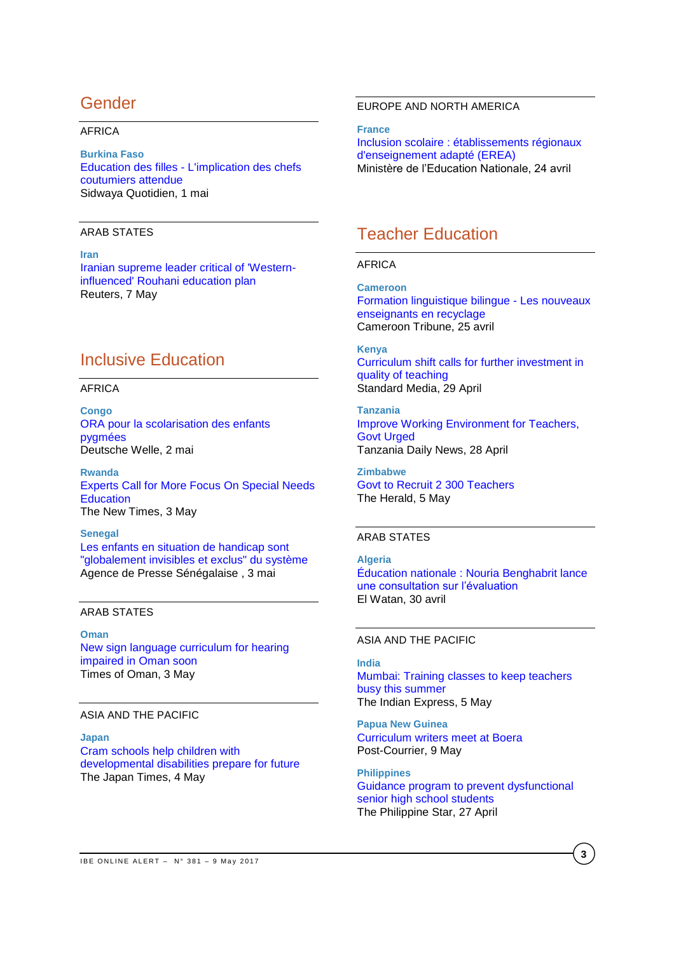# Gender

#### AFRICA

#### **Burkina Faso**

Education des filles - [L'implication des chefs](http://fr.allafrica.com/stories/201705020723.html)  [coutumiers attendue](http://fr.allafrica.com/stories/201705020723.html) Sidwaya Quotidien, 1 mai

#### ARAB STATES

**Iran** [Iranian supreme leader critical of 'Western](http://www.reuters.com/article/us-iran-election-khamenei-idUSKBN1830H4)[influenced' Rouhani education plan](http://www.reuters.com/article/us-iran-election-khamenei-idUSKBN1830H4) Reuters, 7 May

# Inclusive Education

#### AFRICA

**Congo** [ORA pour la scolarisation des enfants](http://fr.allafrica.com/stories/201705020766.html)  [pygmées](http://fr.allafrica.com/stories/201705020766.html) Deutsche Welle, 2 mai

**Rwanda** [Experts Call for More Focus On Special Needs](http://allafrica.com/stories/201705030128.html)  **[Education](http://allafrica.com/stories/201705030128.html)** The New Times, 3 May

**Senegal** [Les enfants en situation de handicap sont](http://fr.allafrica.com/stories/201705040275.html)  ["globalement invisibles et exclus" du système](http://fr.allafrica.com/stories/201705040275.html) Agence de Presse Sénégalaise , 3 mai

## ARAB STATES

## **Oman** [New sign language curriculum for hearing](http://timesofoman.com/article/108286/Oman/Education/New-sign-language-curriculum-for-hearing-impaired-in-Oman-soon)  [impaired in Oman soon](http://timesofoman.com/article/108286/Oman/Education/New-sign-language-curriculum-for-hearing-impaired-in-Oman-soon) Times of Oman, 3 May

#### ASIA AND THE PACIFIC

**Japan** [Cram schools help children with](http://www.japantimes.co.jp/news/2017/05/04/national/cram-schools-help-children-developmental-disabilities-prepare-future/#.WRFh4VLpORY)  [developmental disabilities prepare for future](http://www.japantimes.co.jp/news/2017/05/04/national/cram-schools-help-children-developmental-disabilities-prepare-future/#.WRFh4VLpORY) The Japan Times, 4 May

## EUROPE AND NORTH AMERICA

**France** [Inclusion scolaire : établissements régionaux](http://www.education.gouv.fr/pid285/bulletin_officiel.html?cid_bo=115789)  [d'enseignement adapté \(EREA\)](http://www.education.gouv.fr/pid285/bulletin_officiel.html?cid_bo=115789) Ministère de l'Education Nationale, 24 avril

# Teacher Education

## AFRICA

**Cameroon** [Formation linguistique bilingue -](http://fr.allafrica.com/stories/201704251029.html) Les nouveaux [enseignants en recyclage](http://fr.allafrica.com/stories/201704251029.html) Cameroon Tribune, 25 avril

**Kenya** [Curriculum shift calls for further investment in](https://www.standardmedia.co.ke/article/2001238025/curriculum-shift-calls-for-further-investment-in-quality-of-teaching)  [quality of teaching](https://www.standardmedia.co.ke/article/2001238025/curriculum-shift-calls-for-further-investment-in-quality-of-teaching) Standard Media, 29 April

**Tanzania** [Improve Working Environment for Teachers,](http://allafrica.com/stories/201704280223.html)  [Govt Urged](http://allafrica.com/stories/201704280223.html) Tanzania Daily News, 28 April

**Zimbabwe** [Govt to Recruit 2 300 Teachers](http://allafrica.com/stories/201705050498.html) The Herald, 5 May

#### ARAB STATES

**Algeria** [Éducation nationale : Nouria Benghabrit lance](http://www.elwatan.com/actualite/education-nationale-nouria-benghabrit-lance-une-consultation-sur-l-evaluation-30-04-2017-344278_109.php)  [une consultation sur l'évaluation](http://www.elwatan.com/actualite/education-nationale-nouria-benghabrit-lance-une-consultation-sur-l-evaluation-30-04-2017-344278_109.php) El Watan, 30 avril

## ASIA AND THE PACIFIC

**India** [Mumbai: Training classes to keep teachers](http://indianexpress.com/article/education/mumbai-training-classes-to-keep-teachers-busy-this-summer-4641000/)  [busy this](http://indianexpress.com/article/education/mumbai-training-classes-to-keep-teachers-busy-this-summer-4641000/) summer The Indian Express, 5 May

**Papua New Guinea** [Curriculum writers meet at Boera](http://postcourier.com.pg/curriculum-writers-meet-boera/) Post-Courrier, 9 May

**Philippines** [Guidance program to prevent dysfunctional](http://www.philstar.com/education-and-home/2017/04/27/1694222/guidance-program-prevent-dysfunctional-senior-high-school)  [senior high school students](http://www.philstar.com/education-and-home/2017/04/27/1694222/guidance-program-prevent-dysfunctional-senior-high-school) The Philippine Star, 27 April

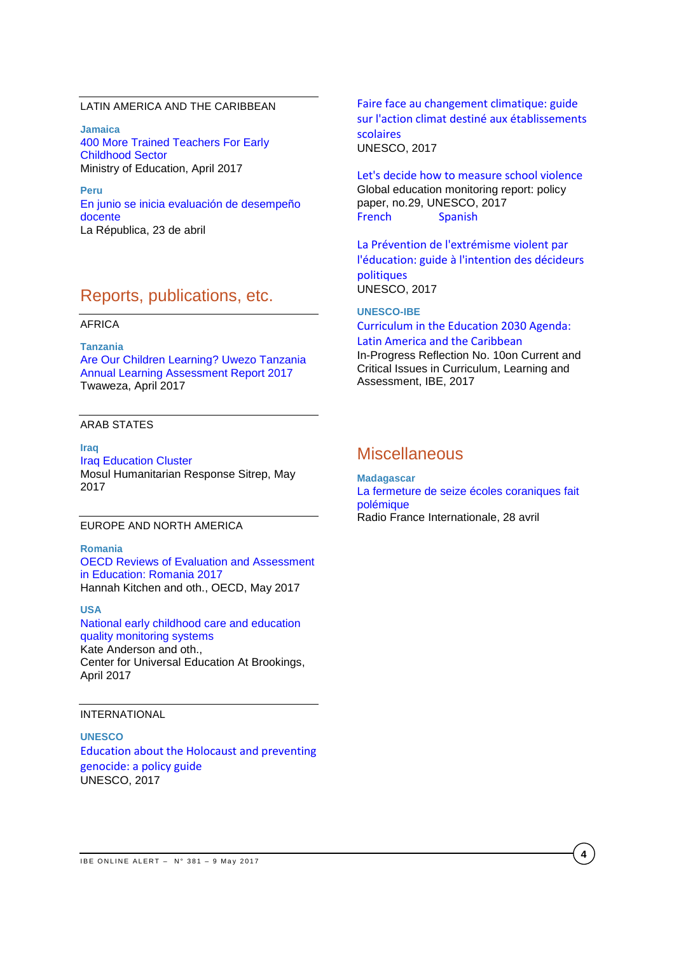## LATIN AMERICA AND THE CARIBBEAN

**Jamaica** [400 More Trained Teachers For Early](http://moey.gov.jm/400-more-trained-teachers-early-childhood-sector)  [Childhood Sector](http://moey.gov.jm/400-more-trained-teachers-early-childhood-sector) Ministry of Education, April 2017

**Peru** [En junio se inicia evaluación de desempeño](http://larepublica.pe/impresa/sociedad/868321-en-junio-se-inicia-evaluacion-de-desempeno-docente)  [docente](http://larepublica.pe/impresa/sociedad/868321-en-junio-se-inicia-evaluacion-de-desempeno-docente) La Républica, 23 de abril

# Reports, publications, etc.

#### AFRICA

**Tanzania** [Are Our Children Learning? Uwezo Tanzania](http://www.twaweza.org/uploads/files/Tanzania%20Report%202017%20Web%20Version.pdf)  [Annual Learning Assessment Report 2017](http://www.twaweza.org/uploads/files/Tanzania%20Report%202017%20Web%20Version.pdf)  Twaweza, April 2017

#### ARAB STATES

**Iraq** [Iraq Education Cluster](https://www.humanitarianresponse.info/system/files/documents/files/education_cluster_situation_report_-_7_may_2017.pdf)  Mosul Humanitarian Response Sitrep, May 2017

## EUROPE AND NORTH AMERICA

**Romania** OECD Reviews of Evaluation and [Assessment](http://www.oecd-ilibrary.org/education/romania-2017_9789264274051-en) in [Education:](http://www.oecd-ilibrary.org/education/romania-2017_9789264274051-en) Romania 2017 Hannah Kitchen and oth., OECD, May 2017

**USA** [National early childhood care and education](https://www.brookings.edu/wp-content/uploads/2017/04/global_20170427_early-childhood-care.pdf)  [quality monitoring systems](https://www.brookings.edu/wp-content/uploads/2017/04/global_20170427_early-childhood-care.pdf) Kate Anderson and oth.,

Center for Universal Education At Brookings, April 2017

#### INTERNATIONAL

**UNESCO** [Education about the Holocaust and preventing](http://unesdoc.unesco.org/images/0024/002480/248071e.pdf)  [genocide: a policy guide](http://unesdoc.unesco.org/images/0024/002480/248071e.pdf) UNESCO, 2017

[Faire face au changement climatique: guide](http://unesdoc.unesco.org/images/0024/002478/247820f.pdf)  [sur l'action climat destiné aux établissements](http://unesdoc.unesco.org/images/0024/002478/247820f.pdf)  [scolaires](http://unesdoc.unesco.org/images/0024/002478/247820f.pdf) UNESCO, 2017

[Let's decide how to measure school violence](http://unesdoc.unesco.org/images/0024/002469/246984e.pdf) Global education monitoring report: policy paper, no.29, UNESCO, 2017 [French](http://unesdoc.unesco.org/images/0024/002469/246984f.pdf) [Spanish](http://unesdoc.unesco.org/images/0024/002469/246984s.pdf)

[La Prévention de l'extrémisme violent par](http://unesdoc.unesco.org/images/0024/002480/248087f.pdf)  [l'éducation: guide à l'intention des décideurs](http://unesdoc.unesco.org/images/0024/002480/248087f.pdf)  [politiques](http://unesdoc.unesco.org/images/0024/002480/248087f.pdf) UNESCO, 2017

## **UNESCO-IBE** [Curriculum in the Education 2030 Agenda:](http://unesdoc.unesco.org/images/0024/002482/248238e.pdf)

[Latin America and the Caribbean](http://unesdoc.unesco.org/images/0024/002482/248238e.pdf) In-Progress Reflection No. 10on Current and Critical Issues in Curriculum, Learning and Assessment, IBE, 2017

## **Miscellaneous**

**Madagascar**  [La fermeture de seize écoles coraniques fait](http://fr.allafrica.com/stories/201704290035.html)  [polémique](http://fr.allafrica.com/stories/201704290035.html) Radio France Internationale, 28 avril

**4**